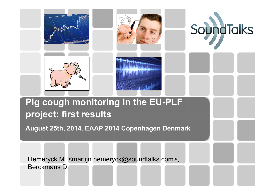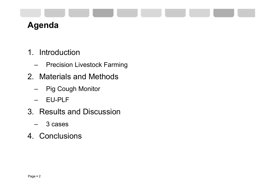#### **Agenda**

- 1. Introduction
	- –Precision Livestock Farming
- 2. Materials and Methods
	- –Pig Cough Monitor
	- –EU-PLF
- 3. Results and Discussion
	- –3 cases
- 4. Conclusions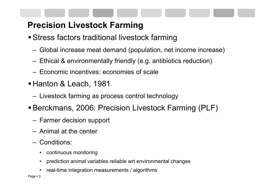### **Precision Livestock Farming**

- Stress factors traditional livestock farming
	- –Global increase meat demand (population, net income increase)
	- –Ethical & environmentally friendly (e.g. antibiotics reduction)
	- Economic incentives: economies of scale
- Hanton & Leach, 1981
	- Livestock farming as process control technology
- Berckmans, 2006: Precision Livestock Farming (PLF)
	- –Farmer decision support
	- Animal at the center
	- Conditions:
		- •continuous monitoring
		- •prediction animal variables reliable wrt environmental changes
		- •real-time integration measurements / algorithms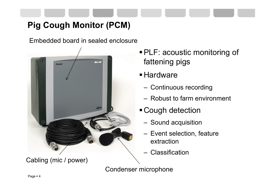## **Pig Cough Monitor (PCM)**

Embedded board in sealed enclosure



Cabling (mic / power)

- PLF: acoustic monitoring of fattening pigs
- **Hardware** 
	- Continuous recording
	- Robust to farm environment
- Cough detection
	- Sound acquisition
	- Event selection, feature extraction
	- **Classification**

Condenser microphone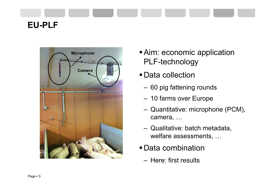# **EU-PLF**



- **Aim: economic application** PLF-technology
- Data collection
	- 60 pig fattening rounds
	- 10 farms over Europe
	- Quantitative: microphone (PCM), camera, …
	- Qualitative: batch metadata, welfare assessments, …
- Data combination
	- Here: first results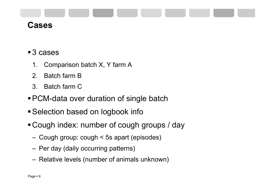

#### **Cases**

#### ■ 3 cases

- 1. Comparison batch X, Y farm A
- 2. Batch farm B
- 3. Batch farm C
- PCM-data over duration of single batch
- Selection based on logbook info
- Cough index: number of cough groups / day
	- Cough group: cough < 5s apart (episodes)
	- Per day (daily occurring patterns)
	- Relative levels (number of animals unknown)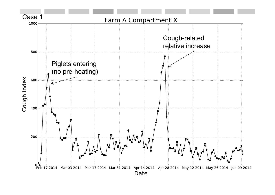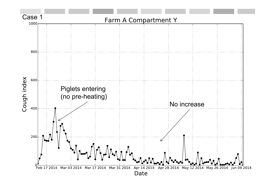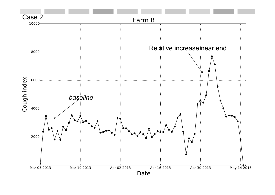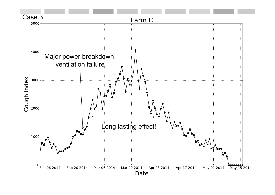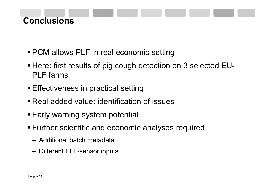## **Conclusions**

- **PCM allows PLF in real economic setting**
- Here: first results of pig cough detection on 3 selected EU-PLF farms
- **Effectiveness in practical setting**
- Real added value: identification of issues
- **Early warning system potential**
- Further scientific and economic analyses required
	- Additional batch metadata
	- Different PLF-sensor inputs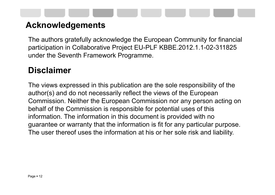#### **Acknowledgements**

The authors gratefully acknowledge the European Community for financial participation in Collaborative Project EU-PLF KBBE.2012.1.1-02-311825 under the Seventh Framework Programme.

#### **Disclaimer**

The views expressed in this publication are the sole responsibility of the author(s) and do not necessarily reflect the views of the European Commission. Neither the European Commission nor any person acting on behalf of the Commission is responsible for potential uses of this information. The information in this document is provided with no guarantee or warranty that the information is fit for any particular purpose. The user thereof uses the information at his or her sole risk and liability.